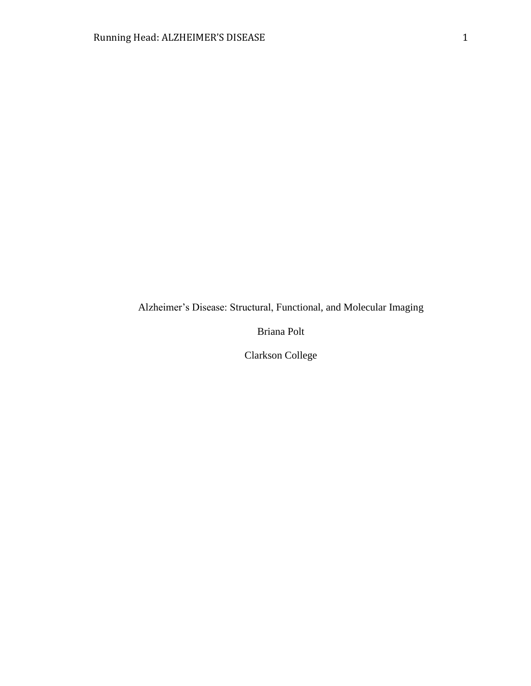Alzheimer's Disease: Structural, Functional, and Molecular Imaging

Briana Polt

Clarkson College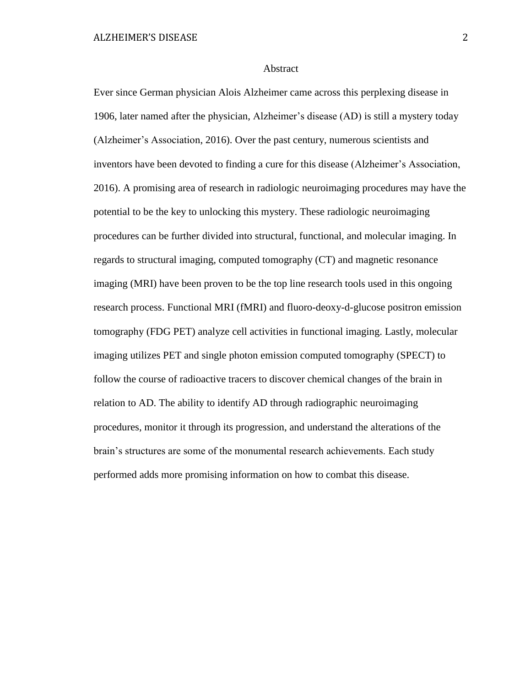#### Abstract

Ever since German physician Alois Alzheimer came across this perplexing disease in 1906, later named after the physician, Alzheimer's disease (AD) is still a mystery today (Alzheimer's Association, 2016). Over the past century, numerous scientists and inventors have been devoted to finding a cure for this disease (Alzheimer's Association, 2016). A promising area of research in radiologic neuroimaging procedures may have the potential to be the key to unlocking this mystery. These radiologic neuroimaging procedures can be further divided into structural, functional, and molecular imaging. In regards to structural imaging, computed tomography (CT) and magnetic resonance imaging (MRI) have been proven to be the top line research tools used in this ongoing research process. Functional MRI (fMRI) and fluoro-deoxy-d-glucose positron emission tomography (FDG PET) analyze cell activities in functional imaging. Lastly, molecular imaging utilizes PET and single photon emission computed tomography (SPECT) to follow the course of radioactive tracers to discover chemical changes of the brain in relation to AD. The ability to identify AD through radiographic neuroimaging procedures, monitor it through its progression, and understand the alterations of the brain's structures are some of the monumental research achievements. Each study performed adds more promising information on how to combat this disease.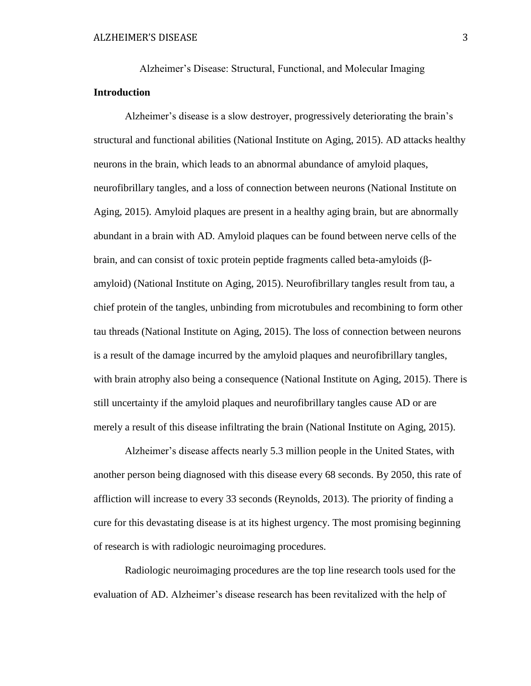Alzheimer's Disease: Structural, Functional, and Molecular Imaging **Introduction**

Alzheimer's disease is a slow destroyer, progressively deteriorating the brain's structural and functional abilities (National Institute on Aging, 2015). AD attacks healthy neurons in the brain, which leads to an abnormal abundance of amyloid plaques, neurofibrillary tangles, and a loss of connection between neurons (National Institute on Aging, 2015). Amyloid plaques are present in a healthy aging brain, but are abnormally abundant in a brain with AD. Amyloid plaques can be found between nerve cells of the brain, and can consist of toxic protein peptide fragments called beta-amyloids (βamyloid) (National Institute on Aging, 2015). Neurofibrillary tangles result from tau, a chief protein of the tangles, unbinding from microtubules and recombining to form other tau threads (National Institute on Aging, 2015). The loss of connection between neurons is a result of the damage incurred by the amyloid plaques and neurofibrillary tangles, with brain atrophy also being a consequence (National Institute on Aging, 2015). There is still uncertainty if the amyloid plaques and neurofibrillary tangles cause AD or are merely a result of this disease infiltrating the brain (National Institute on Aging, 2015).

Alzheimer's disease affects nearly 5.3 million people in the United States, with another person being diagnosed with this disease every 68 seconds. By 2050, this rate of affliction will increase to every 33 seconds (Reynolds, 2013). The priority of finding a cure for this devastating disease is at its highest urgency. The most promising beginning of research is with radiologic neuroimaging procedures.

Radiologic neuroimaging procedures are the top line research tools used for the evaluation of AD. Alzheimer's disease research has been revitalized with the help of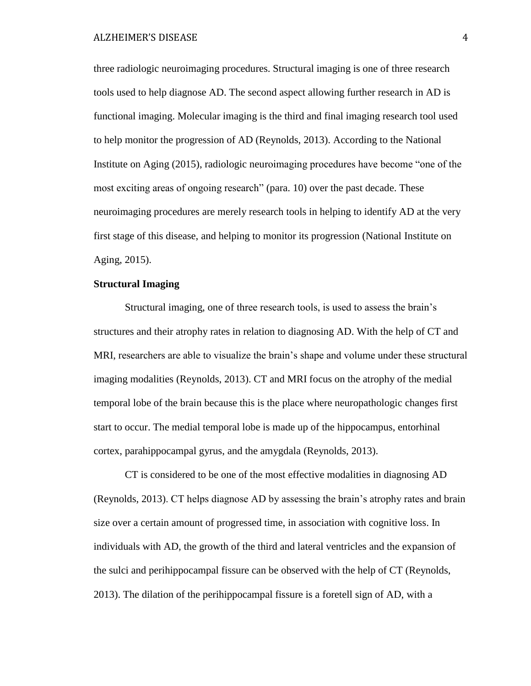ALZHEIMER'S DISEASE 4

three radiologic neuroimaging procedures. Structural imaging is one of three research tools used to help diagnose AD. The second aspect allowing further research in AD is functional imaging. Molecular imaging is the third and final imaging research tool used to help monitor the progression of AD (Reynolds, 2013). According to the National Institute on Aging (2015), radiologic neuroimaging procedures have become "one of the most exciting areas of ongoing research" (para. 10) over the past decade. These neuroimaging procedures are merely research tools in helping to identify AD at the very first stage of this disease, and helping to monitor its progression (National Institute on Aging, 2015).

# **Structural Imaging**

Structural imaging, one of three research tools, is used to assess the brain's structures and their atrophy rates in relation to diagnosing AD. With the help of CT and MRI, researchers are able to visualize the brain's shape and volume under these structural imaging modalities (Reynolds, 2013). CT and MRI focus on the atrophy of the medial temporal lobe of the brain because this is the place where neuropathologic changes first start to occur. The medial temporal lobe is made up of the hippocampus, entorhinal cortex, parahippocampal gyrus, and the amygdala (Reynolds, 2013).

CT is considered to be one of the most effective modalities in diagnosing AD (Reynolds, 2013). CT helps diagnose AD by assessing the brain's atrophy rates and brain size over a certain amount of progressed time, in association with cognitive loss. In individuals with AD, the growth of the third and lateral ventricles and the expansion of the sulci and perihippocampal fissure can be observed with the help of CT (Reynolds, 2013). The dilation of the perihippocampal fissure is a foretell sign of AD, with a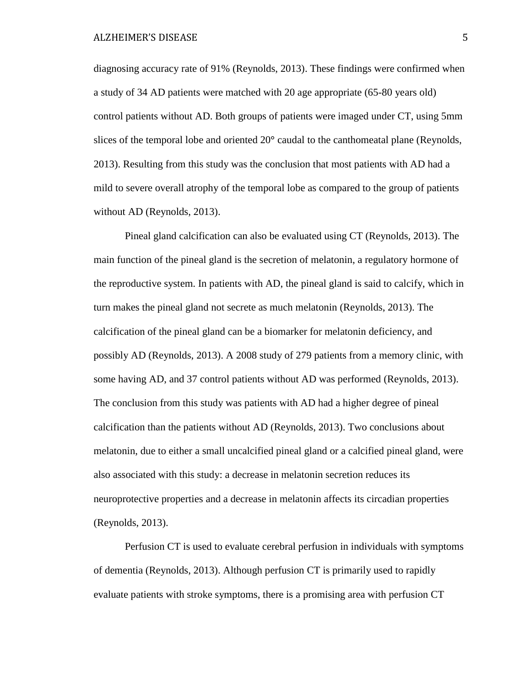diagnosing accuracy rate of 91% (Reynolds, 2013). These findings were confirmed when a study of 34 AD patients were matched with 20 age appropriate (65-80 years old) control patients without AD. Both groups of patients were imaged under CT, using 5mm slices of the temporal lobe and oriented 20**°** caudal to the canthomeatal plane (Reynolds, 2013). Resulting from this study was the conclusion that most patients with AD had a mild to severe overall atrophy of the temporal lobe as compared to the group of patients without AD (Reynolds, 2013).

Pineal gland calcification can also be evaluated using CT (Reynolds, 2013). The main function of the pineal gland is the secretion of melatonin, a regulatory hormone of the reproductive system. In patients with AD, the pineal gland is said to calcify, which in turn makes the pineal gland not secrete as much melatonin (Reynolds, 2013). The calcification of the pineal gland can be a biomarker for melatonin deficiency, and possibly AD (Reynolds, 2013). A 2008 study of 279 patients from a memory clinic, with some having AD, and 37 control patients without AD was performed (Reynolds, 2013). The conclusion from this study was patients with AD had a higher degree of pineal calcification than the patients without AD (Reynolds, 2013). Two conclusions about melatonin, due to either a small uncalcified pineal gland or a calcified pineal gland, were also associated with this study: a decrease in melatonin secretion reduces its neuroprotective properties and a decrease in melatonin affects its circadian properties (Reynolds, 2013).

Perfusion CT is used to evaluate cerebral perfusion in individuals with symptoms of dementia (Reynolds, 2013). Although perfusion CT is primarily used to rapidly evaluate patients with stroke symptoms, there is a promising area with perfusion CT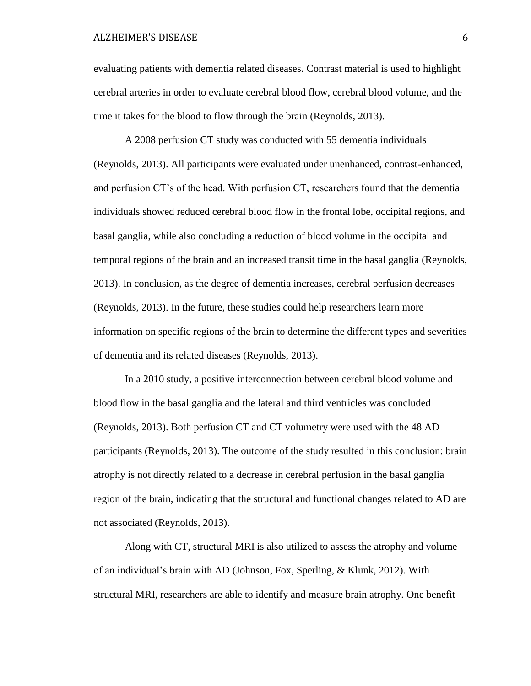### ALZHEIMER'S DISEASE 6

evaluating patients with dementia related diseases. Contrast material is used to highlight cerebral arteries in order to evaluate cerebral blood flow, cerebral blood volume, and the time it takes for the blood to flow through the brain (Reynolds, 2013).

A 2008 perfusion CT study was conducted with 55 dementia individuals (Reynolds, 2013). All participants were evaluated under unenhanced, contrast-enhanced, and perfusion CT's of the head. With perfusion CT, researchers found that the dementia individuals showed reduced cerebral blood flow in the frontal lobe, occipital regions, and basal ganglia, while also concluding a reduction of blood volume in the occipital and temporal regions of the brain and an increased transit time in the basal ganglia (Reynolds, 2013). In conclusion, as the degree of dementia increases, cerebral perfusion decreases (Reynolds, 2013). In the future, these studies could help researchers learn more information on specific regions of the brain to determine the different types and severities of dementia and its related diseases (Reynolds, 2013).

In a 2010 study, a positive interconnection between cerebral blood volume and blood flow in the basal ganglia and the lateral and third ventricles was concluded (Reynolds, 2013). Both perfusion CT and CT volumetry were used with the 48 AD participants (Reynolds, 2013). The outcome of the study resulted in this conclusion: brain atrophy is not directly related to a decrease in cerebral perfusion in the basal ganglia region of the brain, indicating that the structural and functional changes related to AD are not associated (Reynolds, 2013).

Along with CT, structural MRI is also utilized to assess the atrophy and volume of an individual's brain with AD (Johnson, Fox, Sperling, & Klunk, 2012). With structural MRI, researchers are able to identify and measure brain atrophy. One benefit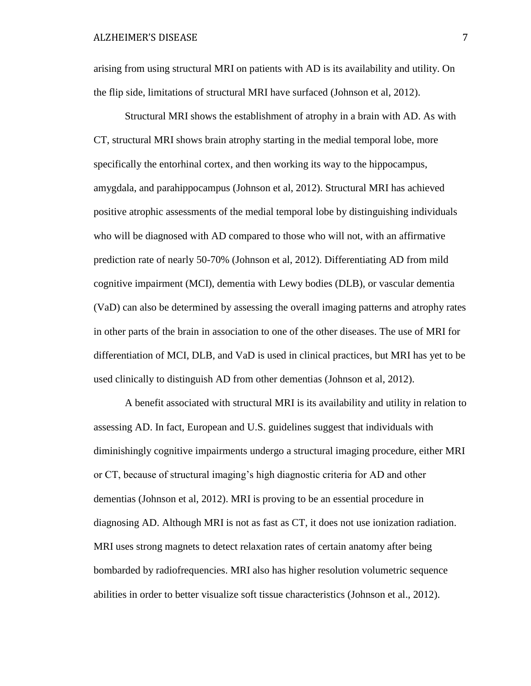arising from using structural MRI on patients with AD is its availability and utility. On the flip side, limitations of structural MRI have surfaced (Johnson et al, 2012).

Structural MRI shows the establishment of atrophy in a brain with AD. As with CT, structural MRI shows brain atrophy starting in the medial temporal lobe, more specifically the entorhinal cortex, and then working its way to the hippocampus, amygdala, and parahippocampus (Johnson et al, 2012). Structural MRI has achieved positive atrophic assessments of the medial temporal lobe by distinguishing individuals who will be diagnosed with AD compared to those who will not, with an affirmative prediction rate of nearly 50-70% (Johnson et al, 2012). Differentiating AD from mild cognitive impairment (MCI), dementia with Lewy bodies (DLB), or vascular dementia (VaD) can also be determined by assessing the overall imaging patterns and atrophy rates in other parts of the brain in association to one of the other diseases. The use of MRI for differentiation of MCI, DLB, and VaD is used in clinical practices, but MRI has yet to be used clinically to distinguish AD from other dementias (Johnson et al, 2012).

A benefit associated with structural MRI is its availability and utility in relation to assessing AD. In fact, European and U.S. guidelines suggest that individuals with diminishingly cognitive impairments undergo a structural imaging procedure, either MRI or CT, because of structural imaging's high diagnostic criteria for AD and other dementias (Johnson et al, 2012). MRI is proving to be an essential procedure in diagnosing AD. Although MRI is not as fast as CT, it does not use ionization radiation. MRI uses strong magnets to detect relaxation rates of certain anatomy after being bombarded by radiofrequencies. MRI also has higher resolution volumetric sequence abilities in order to better visualize soft tissue characteristics (Johnson et al., 2012).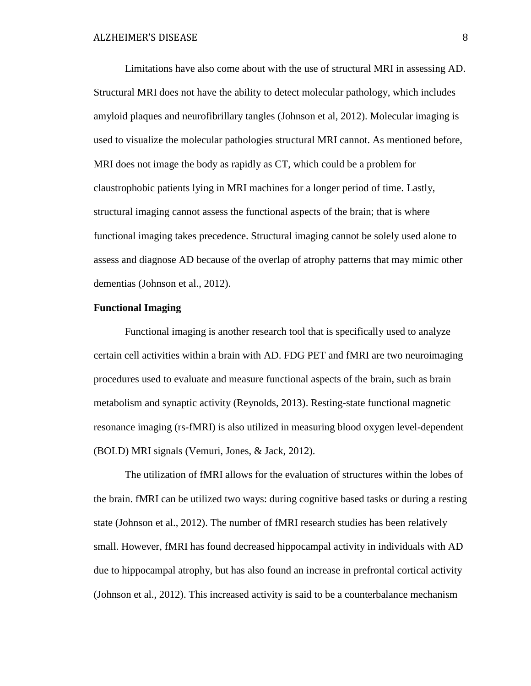Limitations have also come about with the use of structural MRI in assessing AD. Structural MRI does not have the ability to detect molecular pathology, which includes amyloid plaques and neurofibrillary tangles (Johnson et al, 2012). Molecular imaging is used to visualize the molecular pathologies structural MRI cannot. As mentioned before, MRI does not image the body as rapidly as CT, which could be a problem for claustrophobic patients lying in MRI machines for a longer period of time. Lastly, structural imaging cannot assess the functional aspects of the brain; that is where functional imaging takes precedence. Structural imaging cannot be solely used alone to assess and diagnose AD because of the overlap of atrophy patterns that may mimic other dementias (Johnson et al., 2012).

### **Functional Imaging**

Functional imaging is another research tool that is specifically used to analyze certain cell activities within a brain with AD. FDG PET and fMRI are two neuroimaging procedures used to evaluate and measure functional aspects of the brain, such as brain metabolism and synaptic activity (Reynolds, 2013). Resting-state functional magnetic resonance imaging (rs-fMRI) is also utilized in measuring blood oxygen level-dependent (BOLD) MRI signals (Vemuri, Jones, & Jack, 2012).

The utilization of fMRI allows for the evaluation of structures within the lobes of the brain. fMRI can be utilized two ways: during cognitive based tasks or during a resting state (Johnson et al., 2012). The number of fMRI research studies has been relatively small. However, fMRI has found decreased hippocampal activity in individuals with AD due to hippocampal atrophy, but has also found an increase in prefrontal cortical activity (Johnson et al., 2012). This increased activity is said to be a counterbalance mechanism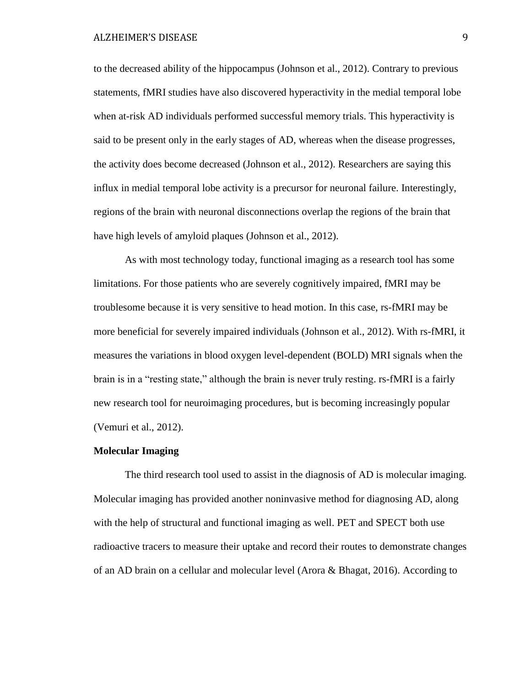to the decreased ability of the hippocampus (Johnson et al., 2012). Contrary to previous statements, fMRI studies have also discovered hyperactivity in the medial temporal lobe when at-risk AD individuals performed successful memory trials. This hyperactivity is said to be present only in the early stages of AD, whereas when the disease progresses, the activity does become decreased (Johnson et al., 2012). Researchers are saying this influx in medial temporal lobe activity is a precursor for neuronal failure. Interestingly, regions of the brain with neuronal disconnections overlap the regions of the brain that have high levels of amyloid plaques (Johnson et al., 2012).

As with most technology today, functional imaging as a research tool has some limitations. For those patients who are severely cognitively impaired, fMRI may be troublesome because it is very sensitive to head motion. In this case, rs-fMRI may be more beneficial for severely impaired individuals (Johnson et al., 2012). With rs-fMRI, it measures the variations in blood oxygen level-dependent (BOLD) MRI signals when the brain is in a "resting state," although the brain is never truly resting. rs-fMRI is a fairly new research tool for neuroimaging procedures, but is becoming increasingly popular (Vemuri et al., 2012).

### **Molecular Imaging**

The third research tool used to assist in the diagnosis of AD is molecular imaging. Molecular imaging has provided another noninvasive method for diagnosing AD, along with the help of structural and functional imaging as well. PET and SPECT both use radioactive tracers to measure their uptake and record their routes to demonstrate changes of an AD brain on a cellular and molecular level (Arora & Bhagat, 2016). According to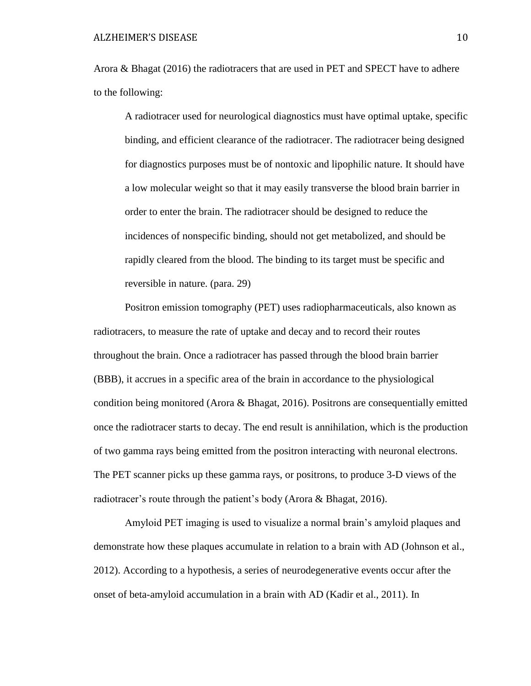### ALZHEIMER'S DISEASE 10

Arora & Bhagat (2016) the radiotracers that are used in PET and SPECT have to adhere to the following:

A radiotracer used for neurological diagnostics must have optimal uptake, specific binding, and efficient clearance of the radiotracer. The radiotracer being designed for diagnostics purposes must be of nontoxic and lipophilic nature. It should have a low molecular weight so that it may easily transverse the blood brain barrier in order to enter the brain. The radiotracer should be designed to reduce the incidences of nonspecific binding, should not get metabolized, and should be rapidly cleared from the blood. The binding to its target must be specific and reversible in nature. (para. 29)

Positron emission tomography (PET) uses radiopharmaceuticals, also known as radiotracers, to measure the rate of uptake and decay and to record their routes throughout the brain. Once a radiotracer has passed through the blood brain barrier (BBB), it accrues in a specific area of the brain in accordance to the physiological condition being monitored (Arora & Bhagat, 2016). Positrons are consequentially emitted once the radiotracer starts to decay. The end result is annihilation, which is the production of two gamma rays being emitted from the positron interacting with neuronal electrons. The PET scanner picks up these gamma rays, or positrons, to produce 3-D views of the radiotracer's route through the patient's body (Arora & Bhagat, 2016).

Amyloid PET imaging is used to visualize a normal brain's amyloid plaques and demonstrate how these plaques accumulate in relation to a brain with AD (Johnson et al., 2012). According to a hypothesis, a series of neurodegenerative events occur after the onset of beta-amyloid accumulation in a brain with AD (Kadir et al., 2011). In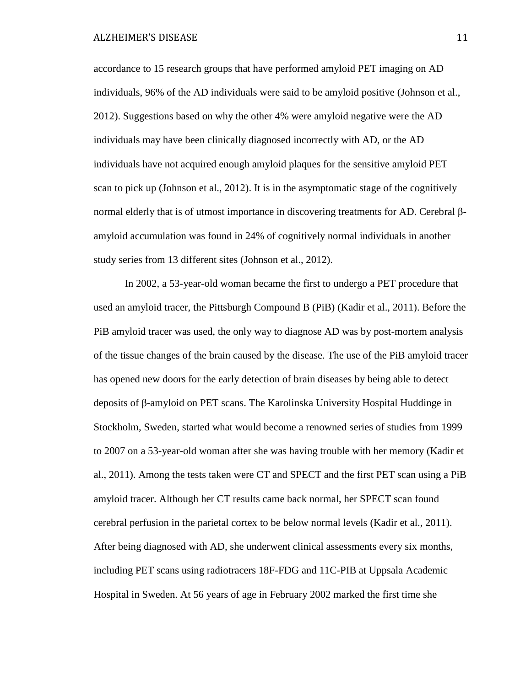accordance to 15 research groups that have performed amyloid PET imaging on AD individuals, 96% of the AD individuals were said to be amyloid positive (Johnson et al., 2012). Suggestions based on why the other 4% were amyloid negative were the AD individuals may have been clinically diagnosed incorrectly with AD, or the AD individuals have not acquired enough amyloid plaques for the sensitive amyloid PET scan to pick up (Johnson et al., 2012). It is in the asymptomatic stage of the cognitively normal elderly that is of utmost importance in discovering treatments for AD. Cerebral βamyloid accumulation was found in 24% of cognitively normal individuals in another study series from 13 different sites (Johnson et al., 2012).

In 2002, a 53-year-old woman became the first to undergo a PET procedure that used an amyloid tracer, the Pittsburgh Compound B (PiB) (Kadir et al., 2011). Before the PiB amyloid tracer was used, the only way to diagnose AD was by post-mortem analysis of the tissue changes of the brain caused by the disease. The use of the PiB amyloid tracer has opened new doors for the early detection of brain diseases by being able to detect deposits of β-amyloid on PET scans. The Karolinska University Hospital Huddinge in Stockholm, Sweden, started what would become a renowned series of studies from 1999 to 2007 on a 53-year-old woman after she was having trouble with her memory (Kadir et al., 2011). Among the tests taken were CT and SPECT and the first PET scan using a PiB amyloid tracer. Although her CT results came back normal, her SPECT scan found cerebral perfusion in the parietal cortex to be below normal levels (Kadir et al., 2011). After being diagnosed with AD, she underwent clinical assessments every six months, including PET scans using radiotracers 18F-FDG and 11C-PIB at Uppsala Academic Hospital in Sweden. At 56 years of age in February 2002 marked the first time she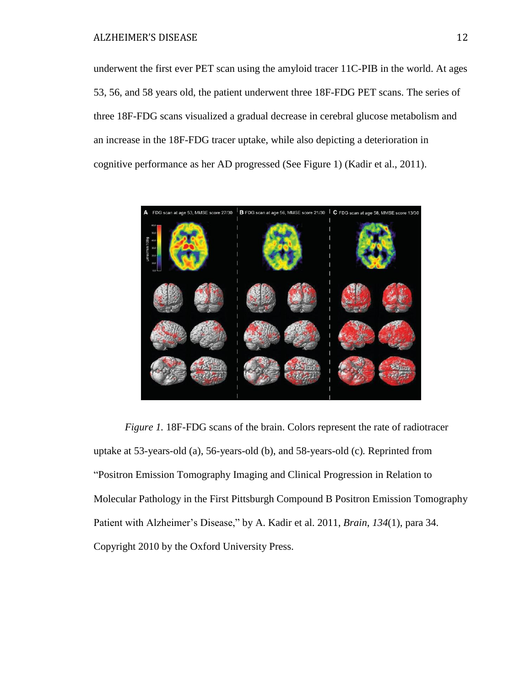underwent the first ever PET scan using the amyloid tracer 11C-PIB in the world. At ages 53, 56, and 58 years old, the patient underwent three 18F-FDG PET scans. The series of three 18F-FDG scans visualized a gradual decrease in cerebral glucose metabolism and an increase in the 18F-FDG tracer uptake, while also depicting a deterioration in cognitive performance as her AD progressed (See Figure 1) (Kadir et al., 2011).



*Figure 1.* 18F-FDG scans of the brain. Colors represent the rate of radiotracer uptake at 53-years-old (a), 56-years-old (b), and 58-years-old (c)*.* Reprinted from "Positron Emission Tomography Imaging and Clinical Progression in Relation to Molecular Pathology in the First Pittsburgh Compound B Positron Emission Tomography Patient with Alzheimer's Disease," by A. Kadir et al. 2011, *Brain*, *134*(1), para 34. Copyright 2010 by the Oxford University Press.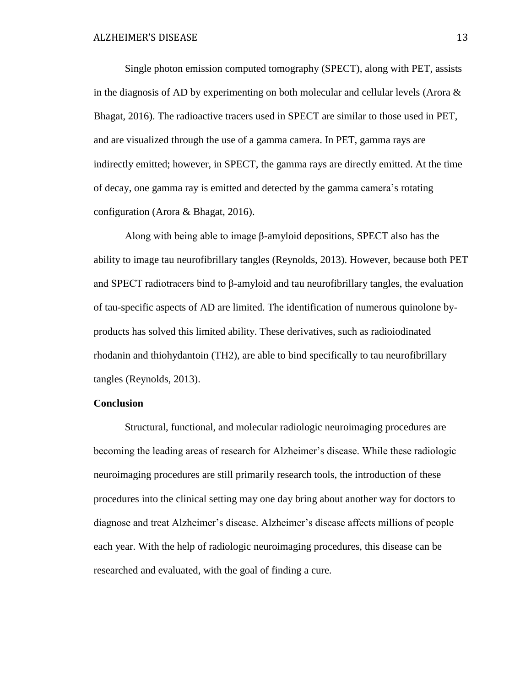Single photon emission computed tomography (SPECT), along with PET, assists in the diagnosis of AD by experimenting on both molecular and cellular levels (Arora  $\&$ Bhagat, 2016). The radioactive tracers used in SPECT are similar to those used in PET, and are visualized through the use of a gamma camera. In PET, gamma rays are indirectly emitted; however, in SPECT, the gamma rays are directly emitted. At the time of decay, one gamma ray is emitted and detected by the gamma camera's rotating configuration (Arora & Bhagat, 2016).

Along with being able to image β-amyloid depositions, SPECT also has the ability to image tau neurofibrillary tangles (Reynolds, 2013). However, because both PET and SPECT radiotracers bind to  $\beta$ -amyloid and tau neurofibrillary tangles, the evaluation of tau-specific aspects of AD are limited. The identification of numerous quinolone byproducts has solved this limited ability. These derivatives, such as radioiodinated rhodanin and thiohydantoin (TH2), are able to bind specifically to tau neurofibrillary tangles (Reynolds, 2013).

# **Conclusion**

Structural, functional, and molecular radiologic neuroimaging procedures are becoming the leading areas of research for Alzheimer's disease. While these radiologic neuroimaging procedures are still primarily research tools, the introduction of these procedures into the clinical setting may one day bring about another way for doctors to diagnose and treat Alzheimer's disease. Alzheimer's disease affects millions of people each year. With the help of radiologic neuroimaging procedures, this disease can be researched and evaluated, with the goal of finding a cure.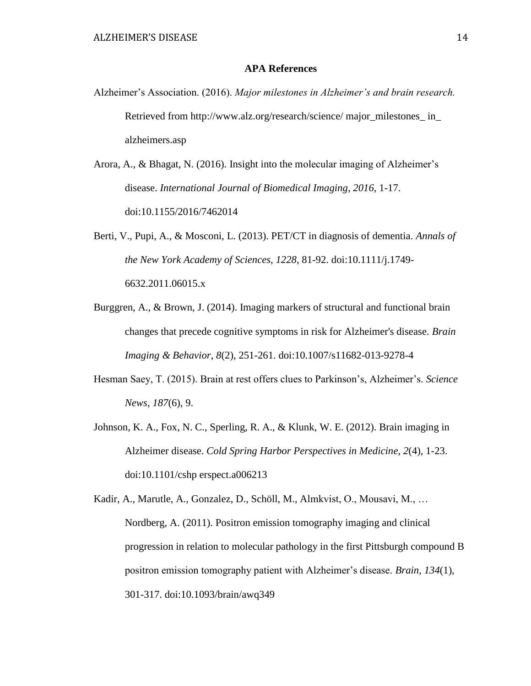# **APA References**

- Alzheimer's Association. (2016). *Major milestones in Alzheimer's and brain research.* Retrieved from http://www.alz.org/research/science/ major\_milestones\_ in alzheimers.asp
- Arora, A., & Bhagat, N. (2016). Insight into the molecular imaging of Alzheimer's disease. *International Journal of Biomedical Imaging*, *2016*, 1-17. doi:10.1155/2016/7462014
- Berti, V., Pupi, A., & Mosconi, L. (2013). PET/CT in diagnosis of dementia. *Annals of the New York Academy of Sciences*, *1228*, 81-92. doi:10.1111/j.1749- 6632.2011.06015.x
- Burggren, A., & Brown, J. (2014). Imaging markers of structural and functional brain changes that precede cognitive symptoms in risk for Alzheimer's disease. *Brain Imaging & Behavior*, *8*(2), 251-261. doi:10.1007/s11682-013-9278-4
- Hesman Saey, T. (2015). Brain at rest offers clues to Parkinson's, Alzheimer's. *Science News*, *187*(6), 9.
- Johnson, K. A., Fox, N. C., Sperling, R. A., & Klunk, W. E. (2012). Brain imaging in Alzheimer disease. *Cold Spring Harbor Perspectives in Medicine*, *2*(4), 1-23. doi:10.1101/cshp erspect.a006213

Kadir, A., Marutle, A., Gonzalez, D., Schöll, M., Almkvist, O., Mousavi, M., … Nordberg, A. (2011). Positron emission tomography imaging and clinical progression in relation to molecular pathology in the first Pittsburgh compound B positron emission tomography patient with Alzheimer's disease. *Brain*, *134*(1), 301-317. doi:10.1093/brain/awq349